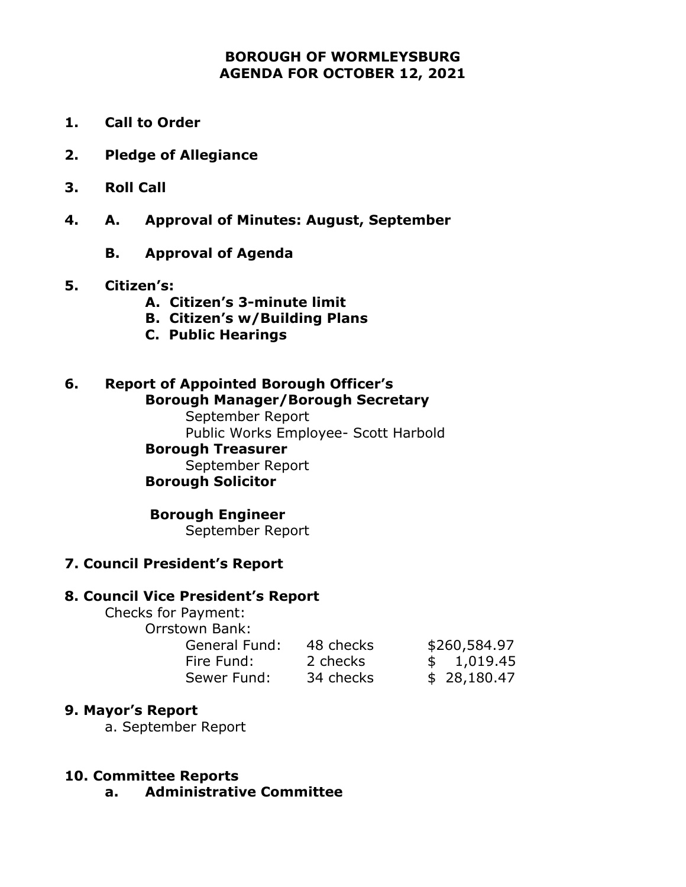#### **BOROUGH OF WORMLEYSBURG AGENDA FOR OCTOBER 12, 2021**

- **1. Call to Order**
- **2. Pledge of Allegiance**
- **3. Roll Call**
- **4. A. Approval of Minutes: August, September**
	- **B. Approval of Agenda**
- **5. Citizen's:**
	- **A. Citizen's 3-minute limit**
	- **B. Citizen's w/Building Plans**
	- **C. Public Hearings**

#### **6. Report of Appointed Borough Officer's Borough Manager/Borough Secretary**

September Report Public Works Employee- Scott Harbold **Borough Treasurer** September Report

# **Borough Solicitor**

**Borough Engineer**  September Report

## **7. Council President's Report**

## **8. Council Vice President's Report**

Checks for Payment: Orrstown Bank:

| General Fund: | 48 checks | \$260,584.97 |
|---------------|-----------|--------------|
| Fire Fund:    | 2 checks  | \$1,019.45   |
| Sewer Fund:   | 34 checks | \$28,180.47  |

## **9. Mayor's Report**

a. September Report

#### **10. Committee Reports**

**a. Administrative Committee**